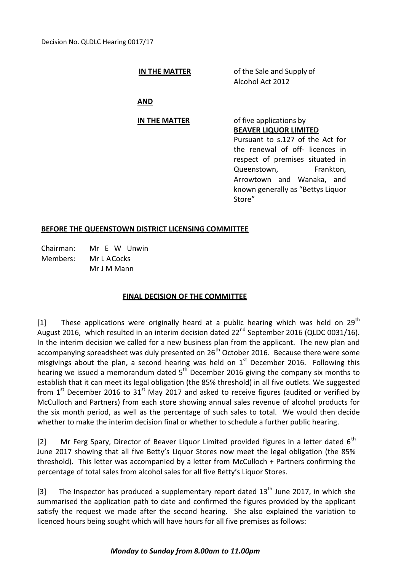## **IN THE MATTER** of the Sale and Supply of Alcohol Act 2012

**AND**

# **IN THE MATTER** of five applications by

**BEAVER LIQUOR LIMITED**

Pursuant to s.127 of the Act for the renewal of off- licences in respect of premises situated in Queenstown, Frankton, Arrowtown and Wanaka, and known generally as "Bettys Liquor Store"

### **BEFORE THE QUEENSTOWN DISTRICT LICENSING COMMITTEE**

Chairman: Mr E W Unwin Members: Mr L ACocks Mr J M Mann

### **FINAL DECISION OF THE COMMITTEE**

[1] These applications were originally heard at a public hearing which was held on  $29^{th}$ August 2016, which resulted in an interim decision dated  $22^{nd}$  September 2016 (QLDC 0031/16). In the interim decision we called for a new business plan from the applicant. The new plan and accompanying spreadsheet was duly presented on 26<sup>th</sup> October 2016. Because there were some misgivings about the plan, a second hearing was held on  $1<sup>st</sup>$  December 2016. Following this hearing we issued a memorandum dated  $5<sup>th</sup>$  December 2016 giving the company six months to establish that it can meet its legal obligation (the 85% threshold) in all five outlets. We suggested from  $1<sup>st</sup>$  December 2016 to  $31<sup>st</sup>$  May 2017 and asked to receive figures (audited or verified by McCulloch and Partners) from each store showing annual sales revenue of alcohol products for the six month period, as well as the percentage of such sales to total. We would then decide whether to make the interim decision final or whether to schedule a further public hearing.

[2] Mr Ferg Spary, Director of Beaver Liquor Limited provided figures in a letter dated  $6<sup>th</sup>$ June 2017 showing that all five Betty's Liquor Stores now meet the legal obligation (the 85% threshold). This letter was accompanied by a letter from McCulloch + Partners confirming the percentage of total sales from alcohol sales for all five Betty's Liquor Stores.

[3] The Inspector has produced a supplementary report dated  $13<sup>th</sup>$  June 2017, in which she summarised the application path to date and confirmed the figures provided by the applicant satisfy the request we made after the second hearing. She also explained the variation to licenced hours being sought which will have hours for all five premises as follows:

#### *Monday to Sunday from 8.00am to 11.00pm*